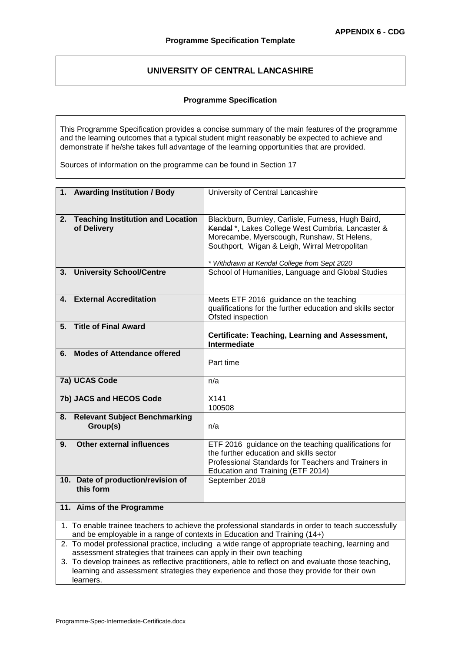# **UNIVERSITY OF CENTRAL LANCASHIRE**

# **Programme Specification**

This Programme Specification provides a concise summary of the main features of the programme and the learning outcomes that a typical student might reasonably be expected to achieve and demonstrate if he/she takes full advantage of the learning opportunities that are provided.

Sources of information on the programme can be found in Section 17

| 1. Awarding Institution / Body                                                                                                                                                                              | University of Central Lancashire                                                                                                                                                                                                                      |  |  |  |  |  |  |
|-------------------------------------------------------------------------------------------------------------------------------------------------------------------------------------------------------------|-------------------------------------------------------------------------------------------------------------------------------------------------------------------------------------------------------------------------------------------------------|--|--|--|--|--|--|
| 2.<br><b>Teaching Institution and Location</b><br>of Delivery                                                                                                                                               | Blackburn, Burnley, Carlisle, Furness, Hugh Baird,<br>Kendal*, Lakes College West Cumbria, Lancaster &<br>Morecambe, Myerscough, Runshaw, St Helens,<br>Southport, Wigan & Leigh, Wirral Metropolitan<br>* Withdrawn at Kendal College from Sept 2020 |  |  |  |  |  |  |
| <b>University School/Centre</b><br>3.                                                                                                                                                                       | School of Humanities, Language and Global Studies                                                                                                                                                                                                     |  |  |  |  |  |  |
| <b>External Accreditation</b><br>4.                                                                                                                                                                         | Meets ETF 2016 guidance on the teaching<br>qualifications for the further education and skills sector<br>Ofsted inspection                                                                                                                            |  |  |  |  |  |  |
| <b>Title of Final Award</b><br>5.                                                                                                                                                                           | Certificate: Teaching, Learning and Assessment,<br>Intermediate                                                                                                                                                                                       |  |  |  |  |  |  |
| <b>Modes of Attendance offered</b><br>6.                                                                                                                                                                    | Part time                                                                                                                                                                                                                                             |  |  |  |  |  |  |
| 7a) UCAS Code                                                                                                                                                                                               | n/a                                                                                                                                                                                                                                                   |  |  |  |  |  |  |
| 7b) JACS and HECOS Code                                                                                                                                                                                     | X141<br>100508                                                                                                                                                                                                                                        |  |  |  |  |  |  |
| <b>Relevant Subject Benchmarking</b><br>8.<br>Group(s)                                                                                                                                                      | n/a                                                                                                                                                                                                                                                   |  |  |  |  |  |  |
| Other external influences<br>9.                                                                                                                                                                             | ETF 2016 guidance on the teaching qualifications for<br>the further education and skills sector<br>Professional Standards for Teachers and Trainers in<br>Education and Training (ETF 2014)                                                           |  |  |  |  |  |  |
| 10. Date of production/revision of<br>this form                                                                                                                                                             | September 2018                                                                                                                                                                                                                                        |  |  |  |  |  |  |
| 11. Aims of the Programme                                                                                                                                                                                   |                                                                                                                                                                                                                                                       |  |  |  |  |  |  |
| 1. To enable trainee teachers to achieve the professional standards in order to teach successfully<br>and be employable in a range of contexts in Education and Training (14+)                              |                                                                                                                                                                                                                                                       |  |  |  |  |  |  |
| 2. To model professional practice, including a wide range of appropriate teaching, learning and<br>assessment strategies that trainees can apply in their own teaching                                      |                                                                                                                                                                                                                                                       |  |  |  |  |  |  |
| 3. To develop trainees as reflective practitioners, able to reflect on and evaluate those teaching,<br>learning and assessment strategies they experience and those they provide for their own<br>learners. |                                                                                                                                                                                                                                                       |  |  |  |  |  |  |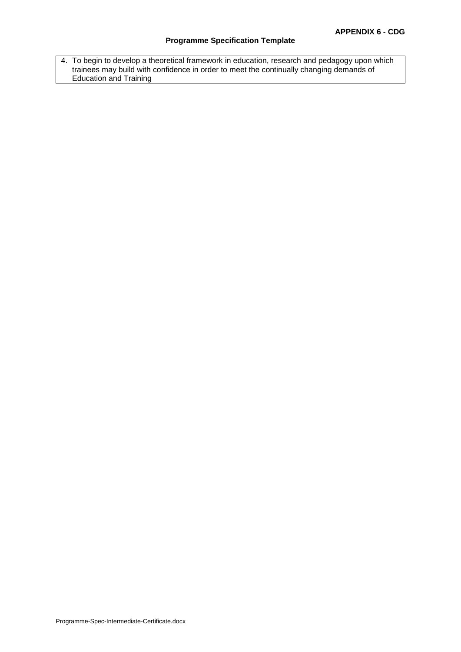# **Programme Specification Template**

4. To begin to develop a theoretical framework in education, research and pedagogy upon which trainees may build with confidence in order to meet the continually changing demands of Education and Training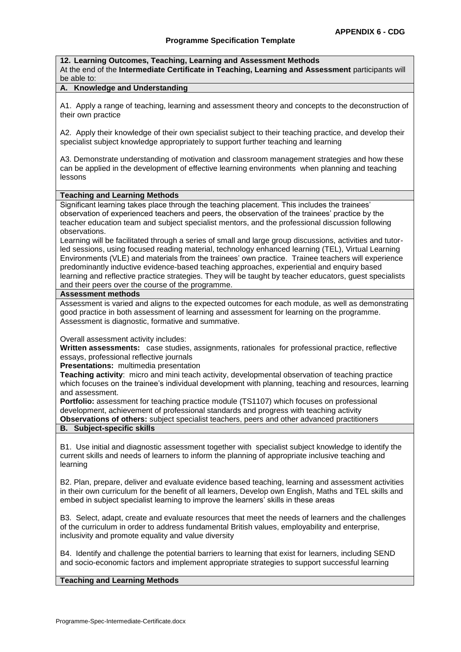**12. Learning Outcomes, Teaching, Learning and Assessment Methods** At the end of the **Intermediate Certificate in Teaching, Learning and Assessment** participants will be able to:

## **A. Knowledge and Understanding**

A1. Apply a range of teaching, learning and assessment theory and concepts to the deconstruction of their own practice

A2. Apply their knowledge of their own specialist subject to their teaching practice, and develop their specialist subject knowledge appropriately to support further teaching and learning

A3. Demonstrate understanding of motivation and classroom management strategies and how these can be applied in the development of effective learning environments when planning and teaching lessons

#### **Teaching and Learning Methods**

Significant learning takes place through the teaching placement. This includes the trainees' observation of experienced teachers and peers, the observation of the trainees' practice by the teacher education team and subject specialist mentors, and the professional discussion following observations.

Learning will be facilitated through a series of small and large group discussions, activities and tutorled sessions, using focused reading material, technology enhanced learning (TEL), Virtual Learning Environments (VLE) and materials from the trainees' own practice. Trainee teachers will experience predominantly inductive evidence-based teaching approaches, experiential and enquiry based learning and reflective practice strategies. They will be taught by teacher educators, guest specialists and their peers over the course of the programme.

#### **Assessment methods**

Assessment is varied and aligns to the expected outcomes for each module, as well as demonstrating good practice in both assessment of learning and assessment for learning on the programme. Assessment is diagnostic, formative and summative.

Overall assessment activity includes:

**Written assessments:** case studies, assignments, rationales for professional practice, reflective essays, professional reflective journals

**Presentations:** multimedia presentation

**Teaching activity**: micro and mini teach activity, developmental observation of teaching practice which focuses on the trainee's individual development with planning, teaching and resources, learning and assessment.

**Portfolio:** assessment for teaching practice module (TS1107) which focuses on professional development, achievement of professional standards and progress with teaching activity **Observations of others:** subject specialist teachers, peers and other advanced practitioners

# **B. Subject-specific skills**

B1. Use initial and diagnostic assessment together with specialist subject knowledge to identify the current skills and needs of learners to inform the planning of appropriate inclusive teaching and learning

B2. Plan, prepare, deliver and evaluate evidence based teaching, learning and assessment activities in their own curriculum for the benefit of all learners, Develop own English, Maths and TEL skills and embed in subject specialist learning to improve the learners' skills in these areas

B3. Select, adapt, create and evaluate resources that meet the needs of learners and the challenges of the curriculum in order to address fundamental British values, employability and enterprise, inclusivity and promote equality and value diversity

B4. Identify and challenge the potential barriers to learning that exist for learners, including SEND and socio-economic factors and implement appropriate strategies to support successful learning

#### **Teaching and Learning Methods**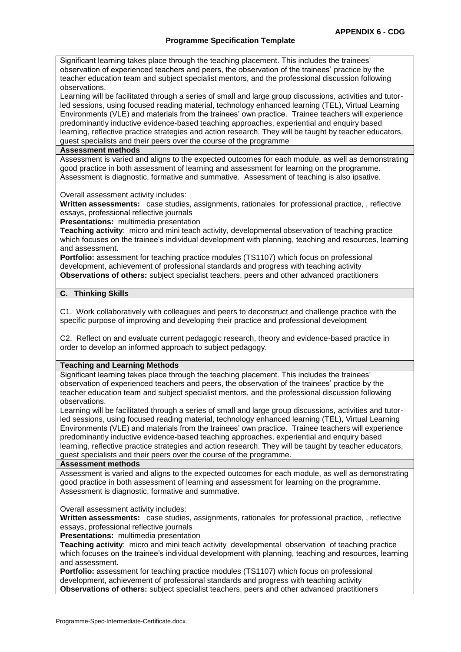Significant learning takes place through the teaching placement. This includes the trainees' observation of experienced teachers and peers, the observation of the trainees' practice by the teacher education team and subject specialist mentors, and the professional discussion following observations.

Learning will be facilitated through a series of small and large group discussions, activities and tutorled sessions, using focused reading material, technology enhanced learning (TEL), Virtual Learning Environments (VLE) and materials from the trainees' own practice. Trainee teachers will experience predominantly inductive evidence-based teaching approaches, experiential and enquiry based learning, reflective practice strategies and action research. They will be taught by teacher educators, guest specialists and their peers over the course of the programme

#### **Assessment methods**

Assessment is varied and aligns to the expected outcomes for each module, as well as demonstrating good practice in both assessment of learning and assessment for learning on the programme. Assessment is diagnostic, formative and summative. Assessment of teaching is also ipsative.

Overall assessment activity includes:

**Written assessments:** case studies, assignments, rationales for professional practice, , reflective essays, professional reflective journals

**Presentations:** multimedia presentation

**Teaching activity**: micro and mini teach activity, developmental observation of teaching practice which focuses on the trainee's individual development with planning, teaching and resources, learning and assessment.

**Portfolio:** assessment for teaching practice modules (TS1107) which focus on professional development, achievement of professional standards and progress with teaching activity **Observations of others:** subject specialist teachers, peers and other advanced practitioners

# **C. Thinking Skills**

C1. Work collaboratively with colleagues and peers to deconstruct and challenge practice with the specific purpose of improving and developing their practice and professional development

C2. Reflect on and evaluate current pedagogic research, theory and evidence-based practice in order to develop an informed approach to subject pedagogy.

# **Teaching and Learning Methods**

Significant learning takes place through the teaching placement. This includes the trainees' observation of experienced teachers and peers, the observation of the trainees' practice by the teacher education team and subject specialist mentors, and the professional discussion following observations.

Learning will be facilitated through a series of small and large group discussions, activities and tutorled sessions, using focused reading material, technology enhanced learning (TEL), Virtual Learning Environments (VLE) and materials from the trainees' own practice. Trainee teachers will experience predominantly inductive evidence-based teaching approaches, experiential and enquiry based learning, reflective practice strategies and action research. They will be taught by teacher educators, guest specialists and their peers over the course of the programme.

#### **Assessment methods**

Assessment is varied and aligns to the expected outcomes for each module, as well as demonstrating good practice in both assessment of learning and assessment for learning on the programme. Assessment is diagnostic, formative and summative.

Overall assessment activity includes:

**Written assessments:** case studies, assignments, rationales for professional practice, , reflective essays, professional reflective journals

**Presentations:** multimedia presentation

**Teaching activity**: micro and mini teach activity developmental observation of teaching practice which focuses on the trainee's individual development with planning, teaching and resources, learning and assessment.

**Portfolio:** assessment for teaching practice modules (TS1107) which focus on professional development, achievement of professional standards and progress with teaching activity **Observations of others:** subject specialist teachers, peers and other advanced practitioners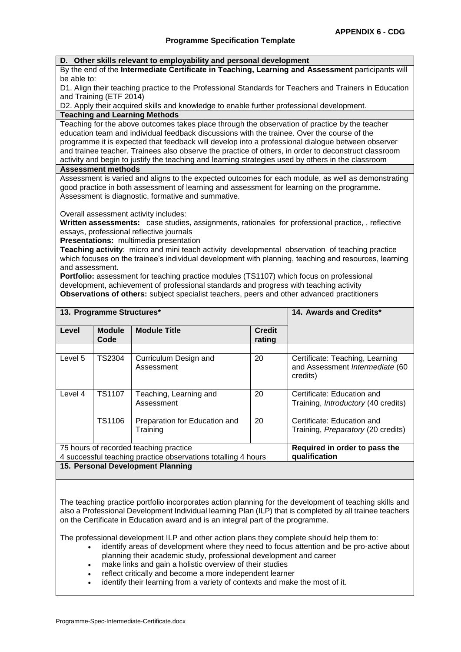#### **D. Other skills relevant to employability and personal development**

By the end of the **Intermediate Certificate in Teaching, Learning and Assessment** participants will be able to:

D1. Align their teaching practice to the Professional Standards for Teachers and Trainers in Education and Training (ETF 2014)

D2. Apply their acquired skills and knowledge to enable further professional development. **Teaching and Learning Methods**

Teaching for the above outcomes takes place through the observation of practice by the teacher education team and individual feedback discussions with the trainee. Over the course of the programme it is expected that feedback will develop into a professional dialogue between observer and trainee teacher. Trainees also observe the practice of others, in order to deconstruct classroom activity and begin to justify the teaching and learning strategies used by others in the classroom

#### **Assessment methods**

Assessment is varied and aligns to the expected outcomes for each module, as well as demonstrating good practice in both assessment of learning and assessment for learning on the programme. Assessment is diagnostic, formative and summative.

Overall assessment activity includes:

**Written assessments:** case studies, assignments, rationales for professional practice, , reflective essays, professional reflective journals

**Presentations:** multimedia presentation

**Teaching activity**: micro and mini teach activity developmental observation of teaching practice which focuses on the trainee's individual development with planning, teaching and resources, learning and assessment.

**Portfolio:** assessment for teaching practice modules (TS1107) which focus on professional development, achievement of professional standards and progress with teaching activity **Observations of others:** subject specialist teachers, peers and other advanced practitioners

|                                   | 13. Programme Structures* |                                                               | 14. Awards and Credits*       |                                                                                |  |  |  |  |  |
|-----------------------------------|---------------------------|---------------------------------------------------------------|-------------------------------|--------------------------------------------------------------------------------|--|--|--|--|--|
| Level                             | <b>Module</b><br>Code     | <b>Module Title</b>                                           | <b>Credit</b><br>rating       |                                                                                |  |  |  |  |  |
|                                   |                           |                                                               |                               |                                                                                |  |  |  |  |  |
| Level 5                           | TS2304                    | Curriculum Design and<br>Assessment                           | 20                            | Certificate: Teaching, Learning<br>and Assessment Intermediate (60<br>credits) |  |  |  |  |  |
| Level 4                           | TS1107                    | Teaching, Learning and<br>Assessment                          | 20                            | Certificate: Education and<br>Training, <i>Introductory</i> (40 credits)       |  |  |  |  |  |
|                                   | TS1106                    | Preparation for Education and<br>Training                     | 20                            | Certificate: Education and<br>Training, <i>Preparatory</i> (20 credits)        |  |  |  |  |  |
|                                   |                           | 75 hours of recorded teaching practice                        | Required in order to pass the |                                                                                |  |  |  |  |  |
|                                   |                           | 4 successful teaching practice observations totalling 4 hours | qualification                 |                                                                                |  |  |  |  |  |
| 15. Personal Development Planning |                           |                                                               |                               |                                                                                |  |  |  |  |  |

#### The teaching practice portfolio incorporates action planning for the development of teaching skills and also a Professional Development Individual learning Plan (ILP) that is completed by all trainee teachers on the Certificate in Education award and is an integral part of the programme.

The professional development ILP and other action plans they complete should help them to:

- identify areas of development where they need to focus attention and be pro-active about planning their academic study, professional development and career
- make links and gain a holistic overview of their studies
- reflect critically and become a more independent learner
- identify their learning from a variety of contexts and make the most of it.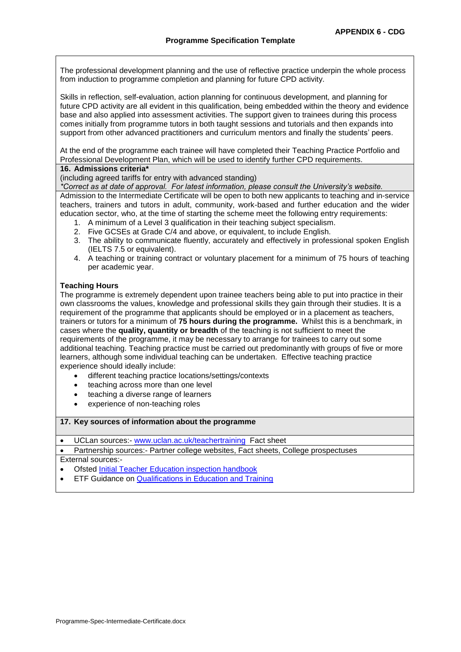The professional development planning and the use of reflective practice underpin the whole process from induction to programme completion and planning for future CPD activity.

Skills in reflection, self-evaluation, action planning for continuous development, and planning for future CPD activity are all evident in this qualification, being embedded within the theory and evidence base and also applied into assessment activities. The support given to trainees during this process comes initially from programme tutors in both taught sessions and tutorials and then expands into support from other advanced practitioners and curriculum mentors and finally the students' peers.

At the end of the programme each trainee will have completed their Teaching Practice Portfolio and Professional Development Plan, which will be used to identify further CPD requirements.

## **16. Admissions criteria\***

(including agreed tariffs for entry with advanced standing)

*\*Correct as at date of approval. For latest information, please consult the University's website.*

Admission to the Intermediate Certificate will be open to both new applicants to teaching and in-service teachers, trainers and tutors in adult, community, work-based and further education and the wider education sector, who, at the time of starting the scheme meet the following entry requirements:

- 1. A minimum of a Level 3 qualification in their teaching subject specialism.
- 2. Five GCSEs at Grade C/4 and above, or equivalent, to include English.
- 3. The ability to communicate fluently, accurately and effectively in professional spoken English (IELTS 7.5 or equivalent).
- 4. A teaching or training contract or voluntary placement for a minimum of 75 hours of teaching per academic year.

## **Teaching Hours**

The programme is extremely dependent upon trainee teachers being able to put into practice in their own classrooms the values, knowledge and professional skills they gain through their studies. It is a requirement of the programme that applicants should be employed or in a placement as teachers, trainers or tutors for a minimum of **75 hours during the programme.** Whilst this is a benchmark, in cases where the **quality, quantity or breadth** of the teaching is not sufficient to meet the requirements of the programme, it may be necessary to arrange for trainees to carry out some additional teaching. Teaching practice must be carried out predominantly with groups of five or more learners, although some individual teaching can be undertaken. Effective teaching practice experience should ideally include:

- different teaching practice locations/settings/contexts
- teaching across more than one level
- teaching a diverse range of learners
- experience of non-teaching roles

**17. Key sources of information about the programme**

UCLan sources:- [www.uclan.ac.uk/teachertraining](http://www.uclan.ac.uk/teachertraining) Fact sheet

 Partnership sources:- Partner college websites, Fact sheets, College prospectuses External sources:-

Ofsted [Initial Teacher Education inspection handbook](https://assets.publishing.service.gov.uk/government/uploads/system/uploads/attachment_data/file/700635/ITE_handbook_April_2018.pdf)

ETF Guidance on [Qualifications in Education and Training](https://www.feadvice.org.uk/i-am-ite-provider-etf-guidance-documents/qualifications-education-and-training)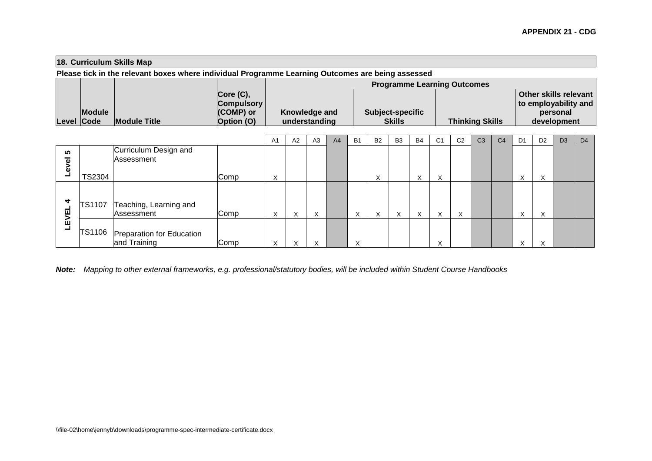# **18. Curriculum Skills Map**

**Please tick in the relevant boxes where individual Programme Learning Outcomes are being assessed**

|               |                     |                   | <b>Programme Learning Outcomes</b> |                         |                        |                       |  |  |  |  |  |  |  |
|---------------|---------------------|-------------------|------------------------------------|-------------------------|------------------------|-----------------------|--|--|--|--|--|--|--|
|               |                     | Core (C),         |                                    |                         |                        | Other skills relevant |  |  |  |  |  |  |  |
|               |                     | <b>Compulsory</b> |                                    |                         |                        | to employability and  |  |  |  |  |  |  |  |
| <b>Module</b> |                     | (COMP) or         | Knowledge and                      | <b>Subject-specific</b> |                        | personal              |  |  |  |  |  |  |  |
| Level Code    | <b>Module Title</b> | <b>Option</b> (O) | understanding                      | <b>Skills</b>           | <b>Thinking Skills</b> | development           |  |  |  |  |  |  |  |

|                                |               |                                                  |      | A <sub>1</sub>    | A2 | A3        | A <sub>4</sub> | <b>B1</b>                 | B <sub>2</sub>    | B <sub>3</sub> | <b>B4</b>         | C <sub>1</sub> | C <sub>2</sub> | C <sub>3</sub> | C <sub>4</sub> | D <sub>1</sub> | D <sub>2</sub> | D <sub>3</sub> | D <sub>4</sub> |
|--------------------------------|---------------|--------------------------------------------------|------|-------------------|----|-----------|----------------|---------------------------|-------------------|----------------|-------------------|----------------|----------------|----------------|----------------|----------------|----------------|----------------|----------------|
| ທ<br>$\overline{\bullet}$<br>۵ |               | Curriculum Design and<br>Assessment              |      |                   |    |           |                |                           |                   |                |                   |                |                |                |                |                |                |                |                |
|                                | <b>TS2304</b> |                                                  | Comp | $\checkmark$<br>∧ |    |           |                |                           | $\checkmark$<br>⌒ |                | $\checkmark$<br>⌒ | ∧              |                |                |                |                |                |                |                |
| 4<br>ᇤ                         | <b>TS1107</b> | Teaching, Learning and<br>Assessment             | Comp | ∧                 | ⋏  | $\lambda$ |                | $\checkmark$<br>$\lambda$ | $\lambda$         | $\sim$         | ⌒                 | ⋏              | X              |                |                | $\sim$         | $\sim$         |                |                |
| ΣÎ<br>┙                        |               | TS1106 Preparation for Education<br>and Training | Comp | ⌒                 |    |           |                | $\checkmark$<br>⌒         |                   |                |                   |                |                |                |                |                |                |                |                |

*Note: Mapping to other external frameworks, e.g. professional/statutory bodies, will be included within Student Course Handbooks*